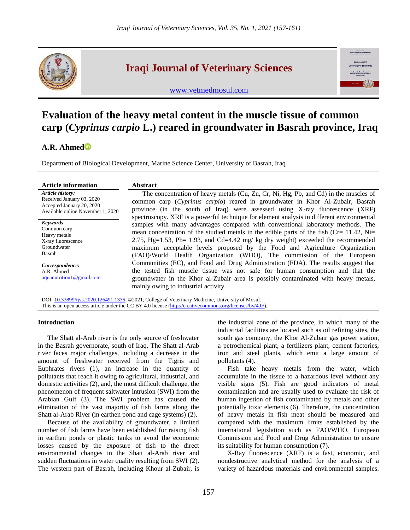

## **Iraqi Journal of Veterinary Sciences**



[www.vetmedmosul.com](http://www.vetmedmosul.com/)

# **Evaluation of the heavy metal content in the muscle tissue of common carp (***Cyprinus carpio* **L.) reared in groundwater in Basrah province, Iraq**

### **A.R. Ahmed**

Department of Biological Development, Marine Science Center, University of Basrah, Iraq

| <b>Article information</b>                                                                                      | <b>Abstract</b>                                                                                                                                                                                                                                                                                                                                                                                                         |
|-----------------------------------------------------------------------------------------------------------------|-------------------------------------------------------------------------------------------------------------------------------------------------------------------------------------------------------------------------------------------------------------------------------------------------------------------------------------------------------------------------------------------------------------------------|
| Article history:<br>Received January 03, 2020<br>Accepted January 20, 2020<br>Available online November 1, 2020 | The concentration of heavy metals (Cu, Zn, Cr, Ni, Hg, Pb, and Cd) in the muscles of<br>common carp (Cyprinus carpio) reared in groundwater in Khor Al-Zubair, Basrah<br>province (in the south of Iraq) were assessed using X-ray fluorescence (XRF)<br>spectroscopy. XRF is a powerful technique for element analysis in different environmental                                                                      |
| Keywords:<br>Common carp<br>Heavy metals<br>X-ray fluorescence<br>Groundwater<br>Basrah                         | samples with many advantages compared with conventional laboratory methods. The<br>mean concentration of the studied metals in the edible parts of the fish (Cr= 11.42, Ni=<br>2.75, Hg=1.53, Pb= 1.93, and Cd=4.42 mg/ kg dry weight) exceeded the recommended<br>maximum acceptable levels proposed by the Food and Agriculture Organization<br>(FAO)/World Health Organization (WHO), The commission of the European |
| Correspondence:<br>A.R. Ahmed<br>aquanutrition 1 @ gmail.com                                                    | Communities (EC), and Food and Drug Administration (FDA). The results suggest that<br>the tested fish muscle tissue was not safe for human consumption and that the<br>groundwater in the Khor al-Zubair area is possibly contaminated with heavy metals,<br>mainly owing to industrial activity.                                                                                                                       |

DOI: [10.33899/ijvs.2020.126491.1336,](http://www.doi.org/10.33899/ijvs.2020.126491.1336) ©2021, College of Veterinary Medicine, University of Mosul. This is an open access article under the CC BY 4.0 license [\(http://creativecommons.org/licenses/by/4.0/\)](http://creativecommons.org/licenses/by/4.0/).

#### **Introduction**

The Shatt al-Arab river is the only source of freshwater in the Basrah governorate, south of Iraq. The Shatt al-Arab river faces major challenges, including a decrease in the amount of freshwater received from the Tigris and Euphrates rivers (1), an increase in the quantity of pollutants that reach it owing to agricultural, industrial, and domestic activities (2), and, the most difficult challenge, the phenomenon of frequent saltwater intrusion (SWI) from the Arabian Gulf (3). The SWI problem has caused the elimination of the vast majority of fish farms along the Shatt al-Arab River (in earthen pond and cage systems) (2).

Because of the availability of groundwater, a limited number of fish farms have been established for raising fish in earthen ponds or plastic tanks to avoid the economic losses caused by the exposure of fish to the direct environmental changes in the Shatt al-Arab river and sudden fluctuations in water quality resulting from SWI (2). The western part of Basrah, including Khour al-Zubair, is

the industrial zone of the province, in which many of the industrial facilities are located such as oil refining sites, the south gas company, the Khor Al-Zubair gas power station, a petrochemical plant, a fertilizers plant, cement factories, iron and steel plants, which emit a large amount of pollutants (4).

Fish take heavy metals from the water, which accumulate in the tissue to a hazardous level without any visible signs (5). Fish are good indicators of metal contamination and are usually used to evaluate the risk of human ingestion of fish contaminated by metals and other potentially toxic elements (6). Therefore, the concentration of heavy metals in fish meat should be measured and compared with the maximum limits established by the international legislation such as FAO/WHO, European Commission and Food and Drug Administration to ensure its suitability for human consumption (7).

X-Ray fluorescence (XRF) is a fast, economic, and nondestructive analytical method for the analysis of a variety of hazardous materials and environmental samples.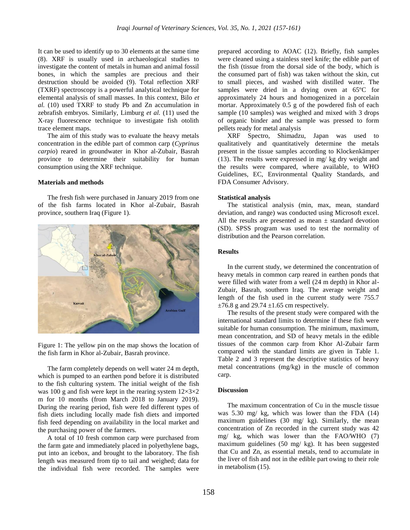It can be used to identify up to 30 elements at the same time (8). XRF is usually used in archaeological studies to investigate the content of metals in human and animal fossil bones, in which the samples are precious and their destruction should be avoided (9). Total reflection XRF (TXRF) spectroscopy is a powerful analytical technique for elemental analysis of small masses. In this context, Bilo *et al.* (10) used TXRF to study Pb and Zn accumulation in zebrafish embryos. Similarly, Limburg *et al.* (11) used the X-ray fluorescence technique to investigate fish otolith trace element maps.

The aim of this study was to evaluate the heavy metals concentration in the edible part of common carp (*Cyprinus carpio*) reared in groundwater in Khor al-Zubair, Basrah province to determine their suitability for human consumption using the XRF technique.

#### **Materials and methods**

The fresh fish were purchased in January 2019 from one of the fish farms located in Khor al-Zubair, Basrah province, southern Iraq (Figure 1).





The farm completely depends on well water 24 m depth, which is pumped to an earthen pond before it is distributed to the fish culturing system. The initial weight of the fish was 100 g and fish were kept in the rearing system  $12\times3\times2$ m for 10 months (from March 2018 to January 2019). During the rearing period, fish were fed different types of fish diets including locally made fish diets and imported fish feed depending on availability in the local market and the purchasing power of the farmers.

A total of 10 fresh common carp were purchased from the farm gate and immediately placed in polyethylene bags, put into an icebox, and brought to the laboratory. The fish length was measured from tip to tail and weighed; data for the individual fish were recorded. The samples were

prepared according to AOAC (12). Briefly, fish samples were cleaned using a stainless steel knife; the edible part of the fish (tissue from the dorsal side of the body, which is the consumed part of fish) was taken without the skin, cut to small pieces, and washed with distilled water. The samples were dried in a drying oven at 65ºC for approximately 24 hours and homogenized in a porcelain mortar. Approximately 0.5 g of the powdered fish of each sample (10 samples) was weighed and mixed with 3 drops of organic binder and the sample was pressed to form pellets ready for metal analysis

XRF Spectro, Shimadzu, Japan was used to qualitatively and quantitatively determine the metals present in the tissue samples according to Klockenkämper  $(13)$ . The results were expressed in mg/ kg dry weight and the results were compared, where available, to WHO Guidelines, EC, Environmental Quality Standards, and FDA Consumer Advisory.

#### **Statistical analysis**

The statistical analysis (min, max, mean, standard deviation, and range) was conducted using Microsoft excel. All the results are presented as mean  $\pm$  standard devotion (SD). SPSS program was used to test the normality of distribution and the Pearson correlation.

#### **Results**

In the current study, we determined the concentration of heavy metals in common carp reared in earthen ponds that were filled with water from a well (24 m depth) in Khor al-Zubair, Basrah, southern Iraq. The average weight and length of the fish used in the current study were 755.7  $\pm 76.8$  g and 29.74  $\pm 1.65$  cm respectively.

The results of the present study were compared with the international standard limits to determine if these fish were suitable for human consumption. The minimum, maximum, mean concentration, and SD of heavy metals in the edible tissues of the common carp from Khor Al-Zubair farm compared with the standard limits are given in Table 1. Table 2 and 3 represent the descriptive statistics of heavy metal concentrations (mg/kg) in the muscle of common carp.

#### **Discussion**

The maximum concentration of Cu in the muscle tissue was 5.30 mg/ kg, which was lower than the FDA (14) maximum guidelines (30 mg/ kg). Similarly, the mean concentration of Zn recorded in the current study was 42 mg/ kg, which was lower than the FAO/WHO (7) maximum guidelines (50 mg/ kg). It has been suggested that Cu and Zn, as essential metals, tend to accumulate in the liver of fish and not in the edible part owing to their role in metabolism (15).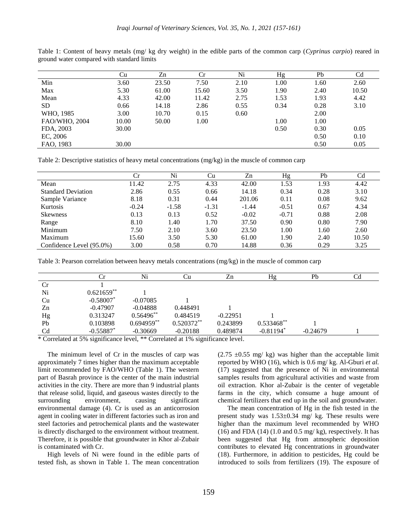|               | Сu    | Zn    | Сr    | Ni   | Hg   | Pb   | Cd    |
|---------------|-------|-------|-------|------|------|------|-------|
| Min           | 3.60  | 23.50 | 7.50  | 2.10 | 1.00 | 1.60 | 2.60  |
| Max           | 5.30  | 61.00 | 15.60 | 3.50 | 1.90 | 2.40 | 10.50 |
| Mean          | 4.33  | 42.00 | 11.42 | 2.75 | 1.53 | 1.93 | 4.42  |
| SD.           | 0.66  | 14.18 | 2.86  | 0.55 | 0.34 | 0.28 | 3.10  |
| WHO, 1985     | 3.00  | 10.70 | 0.15  | 0.60 |      | 2.00 |       |
| FAO/WHO, 2004 | 10.00 | 50.00 | 1.00  |      | 1.00 | 1.00 |       |
| FDA, 2003     | 30.00 |       |       |      | 0.50 | 0.30 | 0.05  |
| EC, 2006      |       |       |       |      |      | 0.50 | 0.10  |
| FAO, 1983     | 30.00 |       |       |      |      | 0.50 | 0.05  |

Table 1: Content of heavy metals (mg/ kg dry weight) in the edible parts of the common carp (*Cyprinus carpio*) reared in ground water compared with standard limits

Table 2: Descriptive statistics of heavy metal concentrations (mg/kg) in the muscle of common carp

|                           | Сr      | Ni      | Cu      | Zn      | Hg      | Pb   | Cd    |
|---------------------------|---------|---------|---------|---------|---------|------|-------|
| Mean                      | 11.42   | 2.75    | 4.33    | 42.00   | 1.53    | 1.93 | 4.42  |
| <b>Standard Deviation</b> | 2.86    | 0.55    | 0.66    | 14.18   | 0.34    | 0.28 | 3.10  |
| Sample Variance           | 8.18    | 0.31    | 0.44    | 201.06  | 0.11    | 0.08 | 9.62  |
| Kurtosis                  | $-0.24$ | $-1.58$ | $-1.31$ | $-1.44$ | $-0.51$ | 0.67 | 4.34  |
| <b>Skewness</b>           | 0.13    | 0.13    | 0.52    | $-0.02$ | $-0.71$ | 0.88 | 2.08  |
| Range                     | 8.10    | 1.40    | 1.70    | 37.50   | 0.90    | 0.80 | 7.90  |
| Minimum                   | 7.50    | 2.10    | 3.60    | 23.50   | 1.00    | 1.60 | 2.60  |
| Maximum                   | 15.60   | 3.50    | 5.30    | 61.00   | 1.90    | 2.40 | 10.50 |
| Confidence Level (95.0%)  | 3.00    | 0.58    | 0.70    | 14.88   | 0.36    | 0.29 | 3.25  |

Table 3: Pearson correlation between heavy metals concentrations (mg/kg) in the muscle of common carp

|                | Ur                      | Ni           | Сu           | Zn         | Hg           | Pb         | Cd |
|----------------|-------------------------|--------------|--------------|------------|--------------|------------|----|
| <b>Cr</b>      |                         |              |              |            |              |            |    |
| Ni             | $0.621659**$            |              |              |            |              |            |    |
| Cu             | $-0.58007$ *            | $-0.07085$   |              |            |              |            |    |
| Zn             | $-0.47907$              | $-0.04888$   | 0.448491     |            |              |            |    |
| Hg             | 0.313247                | $0.56496**$  | 0.484519     | $-0.22951$ |              |            |    |
| Pb             | 0.103898                | $0.694959**$ | $0.520372**$ | 0.243899   | $0.533468**$ |            |    |
| C <sub>d</sub> | $-0.55887$ <sup>*</sup> | $-0.30669$   | $-0.20188$   | 0.489874   | $-0.81194*$  | $-0.24679$ |    |
| $\sim$ $\sim$  |                         |              |              |            |              |            |    |

\* Correlated at 5% significance level, \*\* Correlated at 1% significance level.

The minimum level of Cr in the muscles of carp was approximately 7 times higher than the maximum acceptable limit recommended by FAO/WHO (Table 1). The western part of Basrah province is the center of the main industrial activities in the city. There are more than 9 industrial plants that release solid, liquid, and gaseous wastes directly to the surrounding environment, causing significant environmental damage (4). Cr is used as an anticorrosion agent in cooling water in different factories such as iron and steel factories and petrochemical plants and the wastewater is directly discharged to the environment without treatment. Therefore, it is possible that groundwater in Khor al-Zubair is contaminated with Cr.

High levels of Ni were found in the edible parts of tested fish, as shown in Table 1. The mean concentration

 $(2.75 \pm 0.55 \text{ mg/kg})$  was higher than the acceptable limit reported by WHO (16), which is 0.6 mg/ kg. Al-Gburi *et al.* (17) suggested that the presence of Ni in environmental samples results from agricultural activities and waste from oil extraction. Khor al-Zubair is the center of vegetable farms in the city, which consume a huge amount of chemical fertilizers that end up in the soil and groundwater.

The mean concentration of Hg in the fish tested in the present study was 1.53±0.34 mg/ kg. These results were higher than the maximum level recommended by WHO (16) and FDA (14) (1.0 and 0.5 mg/ $kg$ ), respectively. It has been suggested that Hg from atmospheric deposition contributes to elevated Hg concentrations in groundwater (18). Furthermore, in addition to pesticides, Hg could be introduced to soils from fertilizers (19). The exposure of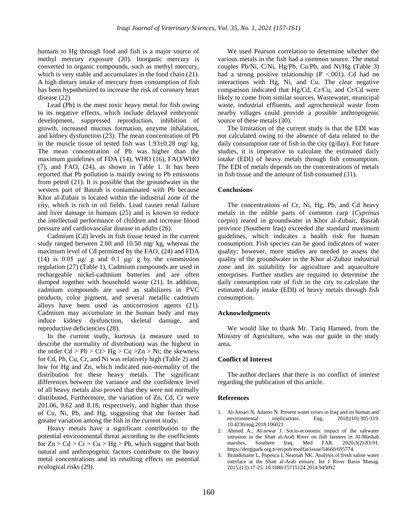humans to Hg through food and fish is a major source of methyl mercury exposure (20). Inorganic mercury is converted to organic compounds, such as methyl mercury, which is very stable and accumulates in the food chain (21). A high dietary intake of mercury from consumption of fish has been hypothesized to increase the risk of coronary heart disease (22)

Lead (Pb) is the most toxic heavy metal for fish owing to its negative effects, which include delayed embryonic development, suppressed reproduction, inhibition of growth, increased mucous formation, enzyme inhalation, and kidney dysfunction (23). The mean concentration of Pb in the muscle tissue of tested fish was 1.93±0.28 mg/ kg. The mean concentration of Pb was higher than the maximum guidelines of FDA (14), WHO (16), FAO/WHO (7), and FAO, (24), as shown in Table 1. It has been reported that Pb pollution is mainly owing to Pb emissions from petrol (21). It is possible that the groundwater in the western part of Basrah is contaminated with Pb because Khor al-Zubair is located within the industrial zone of the city, which is rich in oil fields. Lead causes renal failure and liver damage in humans (25) and is known to reduce the intellectual performance of children and increase blood pressure and cardiovascular disease in adults (26).

Cadmium (Cd) levels in fish tissue tested in the current study ranged between 2.60 and 10.50 mg/ kg, whereas the maximum level of Cd permitted by the FAO, (24) and FDA (14) is 0.05  $\mu$ g/ g and 0.1  $\mu$ g/ g by the commission regulation (27) (Table 1). Cadmium compounds are used in rechargeable nickel-cadmium batteries and are often dumped together with household waste (21). In addition, cadmium compounds are used as stabilizers in PVC products, color pigment, and several metallic cadmium alloys have been used as anticorrosion agents (21). Cadmium may accumulate in the human body and may induce kidney dysfunction, skeletal damage, and reproductive deficiencies (28).

In the current study, kurtosis (a measure used to describe the normality of distribution) was the highest in the order  $Cd > Pb > Cr > Hg > Cu > Zn > Ni$ ; the skewness for Cd, Pb, Cu, Cr, and Ni was relatively high [\(Table 2\)](https://www.ncbi.nlm.nih.gov/pmc/articles/PMC5735547/table/t1-eht-32-e2017018/) and low for Hg and Zn, which indicated non-normality of the distribution for these heavy metals. The significant differences between the variance and the confidence level of all heavy metals also proved that they were not normally distributed. Furthermore, the variation of Zn, Cd, Cr were 201.06, 9.62 and 8.18, respectively, and higher than those of Cu, Ni, Pb, and Hg, suggesting that the former had greater variation among the fish in the current study.

Heavy metals have a significant contribution to the potential environmental threat according to the coefficients for  $Zn > Cd > Cr > Cu > Hg > Pb$ , which suggest that both natural and anthropogenic factors contribute to the heavy metal concentrations and its resulting effects on potential ecological risks (29).

We used Pearson correlation to determine whether the various metals in the fish had a common source. The metal couples Pb/Ni, C/Ni, Hg/Pb, Cu/Pb, and Ni/Hg (Table 3) had a strong positive relationship ( $P < .001$ ). Cd had no interactions with Hg, Ni, and Cu. The clear negative comparison indicated that Hg/Cd, Cr/Cu, and Cr/Cd were likely to come from similar sources. Wastewater, municipal waste, industrial effluents, and agrochemical waste from nearby villages could provide a possible anthropogenic source of these metals (30).

The limitation of the current study is that the EDI was not calculated owing to the absence of data related to the daily consumption rate of fish in the city (g/day). For future studies, it is imperative to calculate the estimated daily intake (EDI) of heavy metals through fish consumption. The EDI of metals depends on the concentrations of metals in fish tissue and the amount of fish consumed (31).

#### **Conclusions**

The concentrations of Cr, Ni, Hg, Pb, and Cd heavy metals in the edible parts of common carp (*Cyprinus carpio*) reared in groundwater in Khor al-Zubair, Basrah province (Southern Iraq) exceeded the standard maximum guidelines, which indicates a health risk for human consumption. Fish species can be good indicators of water quality; however, more studies are needed to assess the quality of the groundwater in the Khor al-Zubair industrial zone and its suitability for agriculture and aquaculture enterprises. Further studies are required to determine the daily consumption rate of fish in the city to calculate the estimated daily intake (EDI) of heavy metals through fish consumption.

#### **Acknowledgments**

We would like to thank Mr. Tariq Hameed, from the Ministry of Agriculture, who was our guide in the study area**.**

#### **Conflict of Interest**

The author declares that there is no conflict of interest regarding the publication of this article.

#### **References**

- 1. Al-Ansari N, Adamo N. Present water crises in Iraq and its human and environmental implications. Eng. 2018;(10):305-319. environmental implications. Eng. 2018;(10):305-319. [10.4236/eng.2018.106021.](https://doi.org/10.4236/eng.2018.106021)
- 2. Ahmed A., Al-zewar J. Socio-economic impact of the saltwater intrusion in the Shatt al-Arab River on fish farmers in Al-Mashab marshes, Southern Iraq. Med FAR. 2020;3(2):83-91. https://dergipark.org.tr/en/pub/medfar/issue/54660/695774.
- 3. Brandimarte L, Popescu I, Neamah NK. Analysis of fresh saline water interface at the Shatt al-Arab estuary. Int J River Basin Manag. 2015;(13):17-25. [10.1080/15715124.2014.945092](https://doi.org/10.1080/15715124.2014.945092)